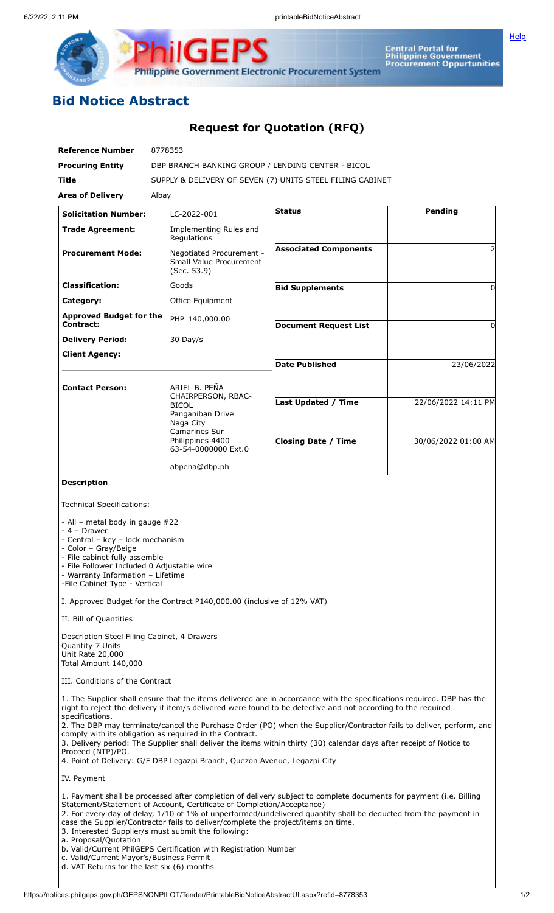Central Portal for<br>Philippine Government<br>Procurement Oppurtunities

Philippine Government Electronic Procurement System

F

## **Bid Notice Abstract**

## **Request for Quotation (RFQ)**

| <b>Reference Number</b>                                                                                                                                                                                                                                                                                                                                                                                                                                                                                                  | 8778353                                                                                                                                                                                                                                                                               |                                                                                                                                                                                                                                                                                                                                                                                                                                                                                       |                     |
|--------------------------------------------------------------------------------------------------------------------------------------------------------------------------------------------------------------------------------------------------------------------------------------------------------------------------------------------------------------------------------------------------------------------------------------------------------------------------------------------------------------------------|---------------------------------------------------------------------------------------------------------------------------------------------------------------------------------------------------------------------------------------------------------------------------------------|---------------------------------------------------------------------------------------------------------------------------------------------------------------------------------------------------------------------------------------------------------------------------------------------------------------------------------------------------------------------------------------------------------------------------------------------------------------------------------------|---------------------|
| <b>Procuring Entity</b>                                                                                                                                                                                                                                                                                                                                                                                                                                                                                                  | DBP BRANCH BANKING GROUP / LENDING CENTER - BICOL                                                                                                                                                                                                                                     |                                                                                                                                                                                                                                                                                                                                                                                                                                                                                       |                     |
| Title                                                                                                                                                                                                                                                                                                                                                                                                                                                                                                                    | SUPPLY & DELIVERY OF SEVEN (7) UNITS STEEL FILING CABINET                                                                                                                                                                                                                             |                                                                                                                                                                                                                                                                                                                                                                                                                                                                                       |                     |
| <b>Area of Delivery</b>                                                                                                                                                                                                                                                                                                                                                                                                                                                                                                  | Albay                                                                                                                                                                                                                                                                                 |                                                                                                                                                                                                                                                                                                                                                                                                                                                                                       |                     |
| <b>Solicitation Number:</b>                                                                                                                                                                                                                                                                                                                                                                                                                                                                                              | LC-2022-001                                                                                                                                                                                                                                                                           | <b>Status</b>                                                                                                                                                                                                                                                                                                                                                                                                                                                                         | Pending             |
| <b>Trade Agreement:</b>                                                                                                                                                                                                                                                                                                                                                                                                                                                                                                  | Implementing Rules and<br>Regulations                                                                                                                                                                                                                                                 |                                                                                                                                                                                                                                                                                                                                                                                                                                                                                       |                     |
| <b>Procurement Mode:</b>                                                                                                                                                                                                                                                                                                                                                                                                                                                                                                 | Negotiated Procurement -<br>Small Value Procurement<br>(Sec. 53.9)                                                                                                                                                                                                                    | <b>Associated Components</b>                                                                                                                                                                                                                                                                                                                                                                                                                                                          | 2                   |
| <b>Classification:</b>                                                                                                                                                                                                                                                                                                                                                                                                                                                                                                   | Goods                                                                                                                                                                                                                                                                                 | <b>Bid Supplements</b>                                                                                                                                                                                                                                                                                                                                                                                                                                                                | 0                   |
| Category:                                                                                                                                                                                                                                                                                                                                                                                                                                                                                                                | Office Equipment                                                                                                                                                                                                                                                                      |                                                                                                                                                                                                                                                                                                                                                                                                                                                                                       |                     |
| <b>Approved Budget for the</b><br>Contract:                                                                                                                                                                                                                                                                                                                                                                                                                                                                              | PHP 140,000.00                                                                                                                                                                                                                                                                        | <b>Document Request List</b>                                                                                                                                                                                                                                                                                                                                                                                                                                                          | 0                   |
| <b>Delivery Period:</b>                                                                                                                                                                                                                                                                                                                                                                                                                                                                                                  | 30 Day/s                                                                                                                                                                                                                                                                              |                                                                                                                                                                                                                                                                                                                                                                                                                                                                                       |                     |
| <b>Client Agency:</b>                                                                                                                                                                                                                                                                                                                                                                                                                                                                                                    |                                                                                                                                                                                                                                                                                       |                                                                                                                                                                                                                                                                                                                                                                                                                                                                                       |                     |
|                                                                                                                                                                                                                                                                                                                                                                                                                                                                                                                          |                                                                                                                                                                                                                                                                                       | <b>Date Published</b>                                                                                                                                                                                                                                                                                                                                                                                                                                                                 | 23/06/2022          |
| <b>Contact Person:</b>                                                                                                                                                                                                                                                                                                                                                                                                                                                                                                   | ARIEL B. PEÑA<br>CHAIRPERSON, RBAC-<br><b>BICOL</b>                                                                                                                                                                                                                                   | <b>Last Updated / Time</b>                                                                                                                                                                                                                                                                                                                                                                                                                                                            | 22/06/2022 14:11 PM |
|                                                                                                                                                                                                                                                                                                                                                                                                                                                                                                                          | Panganiban Drive<br>Naga City                                                                                                                                                                                                                                                         |                                                                                                                                                                                                                                                                                                                                                                                                                                                                                       |                     |
|                                                                                                                                                                                                                                                                                                                                                                                                                                                                                                                          | Camarines Sur<br>Philippines 4400                                                                                                                                                                                                                                                     | <b>Closing Date / Time</b>                                                                                                                                                                                                                                                                                                                                                                                                                                                            |                     |
|                                                                                                                                                                                                                                                                                                                                                                                                                                                                                                                          | 63-54-0000000 Ext.0                                                                                                                                                                                                                                                                   |                                                                                                                                                                                                                                                                                                                                                                                                                                                                                       | 30/06/2022 01:00 AM |
|                                                                                                                                                                                                                                                                                                                                                                                                                                                                                                                          | abpena@dbp.ph                                                                                                                                                                                                                                                                         |                                                                                                                                                                                                                                                                                                                                                                                                                                                                                       |                     |
| <b>Description</b>                                                                                                                                                                                                                                                                                                                                                                                                                                                                                                       |                                                                                                                                                                                                                                                                                       |                                                                                                                                                                                                                                                                                                                                                                                                                                                                                       |                     |
| <b>Technical Specifications:</b><br>- All - metal body in gauge #22<br>- 4 - Drawer<br>- Central - key - lock mechanism<br>- Color - Gray/Beige<br>- File cabinet fully assemble<br>- File Follower Included 0 Adjustable wire<br>- Warranty Information - Lifetime<br>-File Cabinet Type - Vertical<br>II. Bill of Quantities<br>Description Steel Filing Cabinet, 4 Drawers<br>Quantity 7 Units<br>Unit Rate 20,000<br>Total Amount 140,000<br>III. Conditions of the Contract<br>specifications.<br>Proceed (NTP)/PO. | I. Approved Budget for the Contract P140,000.00 (inclusive of 12% VAT)<br>comply with its obligation as required in the Contract.                                                                                                                                                     | 1. The Supplier shall ensure that the items delivered are in accordance with the specifications required. DBP has the<br>right to reject the delivery if item/s delivered were found to be defective and not according to the required<br>2. The DBP may terminate/cancel the Purchase Order (PO) when the Supplier/Contractor fails to deliver, perform, and<br>3. Delivery period: The Supplier shall deliver the items within thirty (30) calendar days after receipt of Notice to |                     |
| IV. Payment                                                                                                                                                                                                                                                                                                                                                                                                                                                                                                              | 4. Point of Delivery: G/F DBP Legazpi Branch, Quezon Avenue, Legazpi City                                                                                                                                                                                                             |                                                                                                                                                                                                                                                                                                                                                                                                                                                                                       |                     |
|                                                                                                                                                                                                                                                                                                                                                                                                                                                                                                                          |                                                                                                                                                                                                                                                                                       |                                                                                                                                                                                                                                                                                                                                                                                                                                                                                       |                     |
| a. Proposal/Quotation<br>c. Valid/Current Mayor's/Business Permit                                                                                                                                                                                                                                                                                                                                                                                                                                                        | Statement/Statement of Account, Certificate of Completion/Acceptance)<br>case the Supplier/Contractor fails to deliver/complete the project/items on time.<br>3. Interested Supplier/s must submit the following:<br>b. Valid/Current PhilGEPS Certification with Registration Number | 1. Payment shall be processed after completion of delivery subject to complete documents for payment (i.e. Billing<br>2. For every day of delay, 1/10 of 1% of unperformed/undelivered quantity shall be deducted from the payment in                                                                                                                                                                                                                                                 |                     |
| d. VAT Returns for the last six (6) months                                                                                                                                                                                                                                                                                                                                                                                                                                                                               |                                                                                                                                                                                                                                                                                       |                                                                                                                                                                                                                                                                                                                                                                                                                                                                                       |                     |